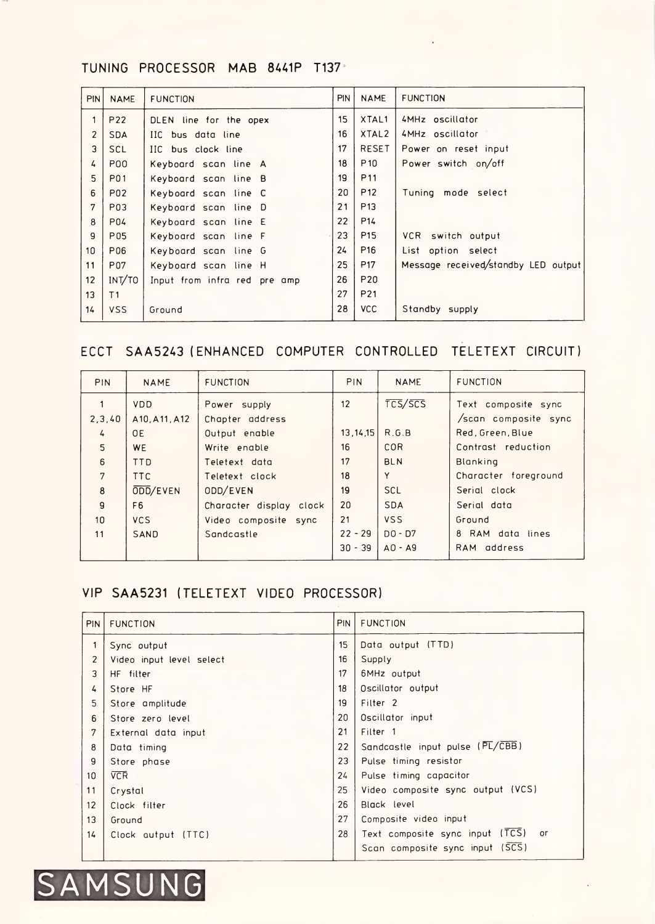# TUNING PROCESSOR MAB 8441P T137

| <b>PIN</b>      | <b>NAME</b>     | <b>FUNCTION</b>              | <b>PIN</b> | <b>NAME</b>     | <b>FUNCTION</b>                     |
|-----------------|-----------------|------------------------------|------------|-----------------|-------------------------------------|
| $\mathbf{1}$    | P22             | DLEN line for the opex       | 15         | XTAL1           | 4MHz oscillator                     |
| $\overline{2}$  | <b>SDA</b>      | IIC bus data line            | 16         | XTAL2           | 4MHz oscillator                     |
| $\overline{3}$  | <b>SCL</b>      | IIC bus clock line           | 17         | <b>RESET</b>    | Power on reset input                |
| 4               | <b>P00</b>      | Keyboard scan line A         | 18         | P <sub>10</sub> | Power switch on/off                 |
| 5               | <b>P01</b>      | Keyboard scan line B         | 19         | <b>P11</b>      |                                     |
| 6               | <b>P02</b>      | Keyboard scan line C         | 20         | P <sub>12</sub> | Tuning mode select                  |
| $\overline{7}$  | P03             | Keyboard scan line D         | 21         | P <sub>13</sub> |                                     |
| 8               | <b>P04</b>      | Keyboard scan line E         | 22         | P14             |                                     |
| $\overline{9}$  | <b>P05</b>      | Keyboard scan line F         | 23         | <b>P15</b>      | VCR switch output                   |
| 10 <sup>1</sup> | P06             | Keyboard scan line G         | 24         | P <sub>16</sub> | List option select                  |
| 11              | P <sub>07</sub> | Keyboard scan line H         | 25         | P <sub>17</sub> | Message received/standby LED output |
| 12              | INT/TO          | Input from infra red pre amp | 26         | P20             |                                     |
| 13              | T <sub>1</sub>  |                              | 27         | <b>P21</b>      |                                     |
| 14              | <b>VSS</b>      | Ground                       | 28         | <b>VCC</b>      | Standby supply                      |

### ECCT SAA5243 (ENHANCED COMPUTER CONTROLLED TELETEXT CIRCUIT)

| <b>PIN</b>       | <b>NAME</b>    | <b>FUNCTION</b>         | <b>PIN</b> | <b>NAME</b> | <b>FUNCTION</b>      |
|------------------|----------------|-------------------------|------------|-------------|----------------------|
|                  | <b>VDD</b>     | Power supply            | 12         | TCS/SCS     | Text composite sync  |
| 2, 3, 40         | A10, A11, A12  | Chapter address         |            |             | /scan composite sync |
| 4                | <b>OE</b>      | Output enable           | 13, 14, 15 | R.G.B       | Red, Green, Blue     |
| 5                | <b>WE</b>      | Write enable            | 16         | COR         | Contrast reduction   |
| $6\overline{6}$  | <b>TTD</b>     | Teletext data           | 17         | <b>BLN</b>  | <b>Blanking</b>      |
| $\overline{7}$   | <b>TTC</b>     | Teletext clock          | 18         | Y           | Character foreground |
| $\boldsymbol{8}$ | ODD/EVEN       | ODD/EVEN                | 19         | <b>SCL</b>  | Serial clock         |
| $\overline{9}$   | F <sub>6</sub> | Character display clock | 20         | <b>SDA</b>  | Serial data          |
| 10               | <b>VCS</b>     | Video composite sync    | 21         | <b>VSS</b>  | Ground               |
| 11               | <b>SAND</b>    | Sandcastle              | $22 - 29$  | $DO - D7$   | 8 RAM data lines     |
|                  |                |                         | $30 - 39$  | $AO - A9$   | RAM address          |

## VIP SAA5231 (TELETEXT VIDEO PROCESSOR)

| <b>PIN</b>       | <b>FUNCTION</b>          | PIN | <b>FUNCTION</b>                                   |
|------------------|--------------------------|-----|---------------------------------------------------|
| $\mathbf 1$      | Sync output              | 15  | Data output (TTD)                                 |
| $\overline{2}$   | Video input level select | 16  | Supply                                            |
| 3                | HF filter                | 17  | 6MHz output                                       |
| 4                | Store HF                 | 18  | Oscillator output                                 |
| 5                | Store amplitude          | 19  | Filter <sub>2</sub>                               |
| $6 \overline{6}$ | Store zero level         | 20  | Oscillator input                                  |
| $\overline{7}$   | External data input      | 21  | Filter <sub>1</sub>                               |
| $\bf{8}$         | Data timing              | 22  | Sandcastle input pulse (PL/CBB)                   |
| $\overline{9}$   | Store phase              | 23  | Pulse timing resistor                             |
| 10 <sup>°</sup>  | <b>VCR</b>               | 24  | Pulse timing capacitor                            |
| 11               | Crystal                  | 25  | Video composite sync output (VCS)                 |
| 12               | Clock filter             | 26  | Black level                                       |
| 13               | Ground                   | 27  | Composite video input                             |
| 14               | Clock autput (TTC)       | 28  | Text composite sync input (TCS)<br>O <sub>l</sub> |
|                  |                          |     | Scan composite sync input (SCS)                   |

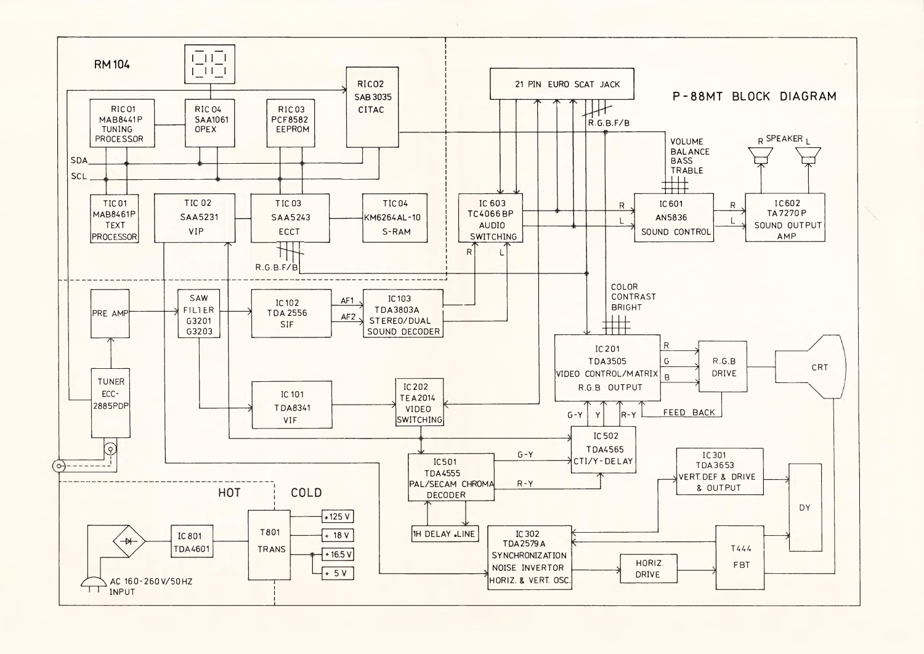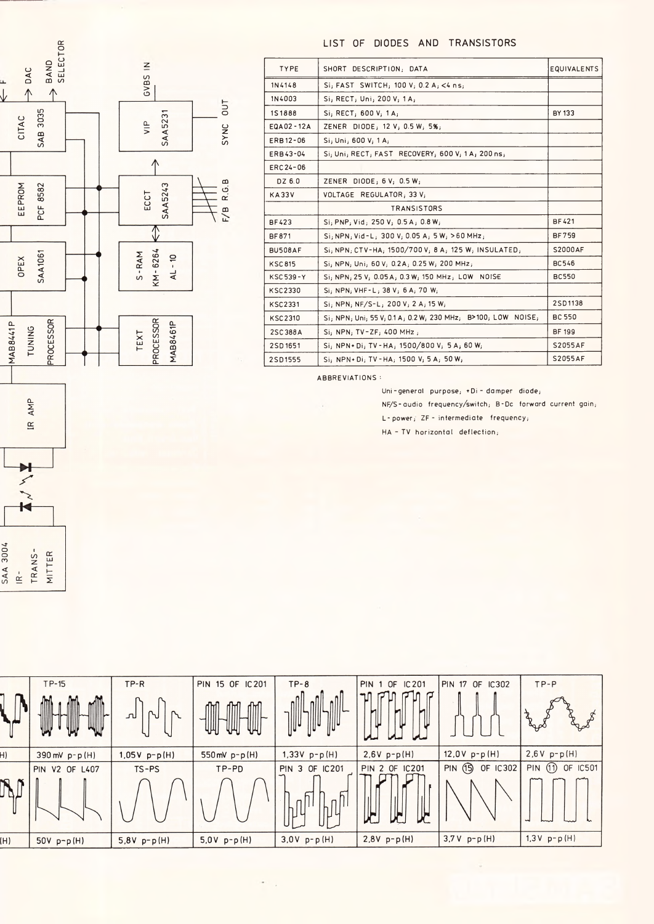

LIST OF DIODES AND TRANSISTORS

| <b>TYPE</b>    | SHORT DESCRIPTION; DATA                                      | <b>EQUIVALENTS</b> |
|----------------|--------------------------------------------------------------|--------------------|
| 1N4148         | Si; FAST SWITCH; 100 V; 0.2 A; <4 ns;                        |                    |
| 1N4003         | Si, RECT, Uni, 200 V, 1A,                                    |                    |
| <b>1S1888</b>  | Si, RECT; 600 V; 1A;                                         | <b>BY 133</b>      |
| EQA02-12A      | ZENER DIODE; 12 V; 0.5 W; 5%;                                |                    |
| ERB12-06       | Si, Uni, 600 V, 1 A,                                         |                    |
| ERB43-04       | Si; Uni; RECT; FAST RECOVERY; 600 V; 1A; 200 ns;             |                    |
| ERC 24-06      |                                                              |                    |
| DZ 6.0         | ZENER DIODE; $6V$ ; $0.5W$ ;                                 |                    |
| <b>KA33V</b>   | VOLTAGE REGULATOR, 33 V;                                     |                    |
|                | <b>TRANSISTORS</b>                                           |                    |
| <b>BF423</b>   | Si, PNP, Vid, 250 V, 0.5 A, 0.8 W,                           | <b>BF421</b>       |
| <b>BF871</b>   | $Si$ ; NPN; Vid-L; 300 V; 0.05 A; 5W; >60 MHz;               | <b>BF759</b>       |
| BU508AF        | Si, NPN, CTV-HA, 1500/700V, 8A, 125W, INSULATED,             | <b>S2000AF</b>     |
| <b>KSC815</b>  | Si, NPN, Uni, 60 V, 0.2A, 0.25 W, 200 MHz,                   | <b>BC546</b>       |
| KSC 539-Y      | Si; NPN; 25 V; 0.05 A; 0.3 W; 150 MHz; LOW NOISE             | <b>BC550</b>       |
| <b>KSC2330</b> | Si, NPN, VHF-L, 38 V, 6 A, 70 W,                             |                    |
| <b>KSC2331</b> | $Si$ ; NPN; NF/S-L; 200 V; 2 A; 15 W;                        | 2SD1138            |
| <b>KSC2310</b> | Si; NPN; Uni; 55 V; 0.1 A; 0.2 W; 230 MHz; B>100; LOW NOISE; | <b>BC 550</b>      |
| 2SC388A        | Si; NPN; TV-ZF; 400 MHz;                                     | <b>BF 199</b>      |
| 2SD1651        | Si, NPN+Di, TV-HA, 1500/800 V, 5A, 60 W,                     | <b>S2055AF</b>     |
| 2SD1555        | Si, NPN+Di, TV-HA, 1500 V, 5 A, 50 W,                        | <b>S2055AF</b>     |
|                |                                                              |                    |

ABBREVIATIONS :

Uni-general purpose; +Di-damper diode; NF/S-audio frequency/switch; B-Dc forward current gain;

L-power; ZF-intermediate frequency;

HA - TV horizontal deflection;

|                 |       | IR AM  |        |  |
|-----------------|-------|--------|--------|--|
|                 |       |        |        |  |
|                 |       |        |        |  |
| <b>SAA 3004</b> | $R -$ | TRANS- | MITTER |  |

|     | $TP-15$<br>W                             | $TP-R$<br><u>لىر</u><br>N | 15 OF IC 201<br><b>PIN</b><br>IM<br>TUL<br>Щ<br>Щ | $TP-8$                | <b>PIN</b><br>IC 201<br>0F<br>и | <b>PIN 17 OF IC302</b>             | $TP-P$<br>$a^r$            |
|-----|------------------------------------------|---------------------------|---------------------------------------------------|-----------------------|---------------------------------|------------------------------------|----------------------------|
| H)  | $390 \text{ mV} \text{ p} - \text{p(H)}$ | $1,05V p-p(H)$            | 550 mV $p - p(H)$                                 | $1,33V p-p(H)$        | $2.6V p-p(H)$                   | $12,0V p-p(H)$                     | $2,6V p-p(H)$              |
|     | <b>PIN V2 OF L407</b>                    | $TS-PS$                   | TP-PD                                             | <b>PIN 3 OF IC201</b> | <b>PIN 2 OF IC201</b>           | $\overline{15}$<br>OF IC302<br>PIN | <b>PIN</b> (1)<br>OF IC501 |
|     |                                          |                           |                                                   |                       | J<br>$\mathsf L$                |                                    | ᅯ                          |
| (H) | $50V p-p(H)$                             | $5,8V p-p(H)$             | $5.0V p-p(H)$                                     | $3.0V p-p(H)$         | $2.8V p-p(H)$                   | $3.7V p-p(H)$                      | $1,3V p-p(H)$              |

 $\sigma_{\rm{max}}$